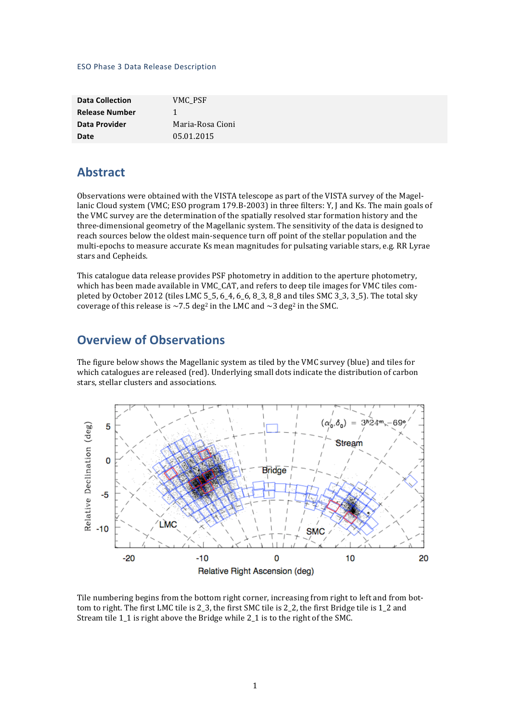#### ESO Phase 3 Data Release Description

| <b>Data Collection</b> | VMC PSF          |
|------------------------|------------------|
| <b>Release Number</b>  | 1                |
| Data Provider          | Maria-Rosa Cioni |
| Date                   | 05.01.2015       |

## **Abstract**

Observations were obtained with the VISTA telescope as part of the VISTA survey of the Magellanic Cloud system (VMC; ESO program 179.B-2003) in three filters: Y, J and Ks. The main goals of the VMC survey are the determination of the spatially resolved star formation history and the three-dimensional geometry of the Magellanic system. The sensitivity of the data is designed to reach sources below the oldest main-sequence turn off point of the stellar population and the multi-epochs to measure accurate Ks mean magnitudes for pulsating variable stars, e.g. RR Lyrae stars and Cepheids.

This catalogue data release provides PSF photometry in addition to the aperture photometry, which has been made available in VMC\_CAT, and refers to deep tile images for VMC tiles completed by October 2012 (tiles LMC 5–5, 6–4, 6–6, 8–3, 8–8 and tiles SMC 3–3, 3–5). The total sky coverage of this release is  $\sim$  7.5 deg<sup>2</sup> in the LMC and  $\sim$  3 deg<sup>2</sup> in the SMC.

## **Overview of Observations**

The figure below shows the Magellanic system as tiled by the VMC survey (blue) and tiles for which catalogues are released (red). Underlying small dots indicate the distribution of carbon stars, stellar clusters and associations.



Tile numbering begins from the bottom right corner, increasing from right to left and from bottom to right. The first LMC tile is 2, 3, the first SMC tile is 2, 2, the first Bridge tile is 1, 2 and Stream tile 1 1 is right above the Bridge while 2 1 is to the right of the SMC.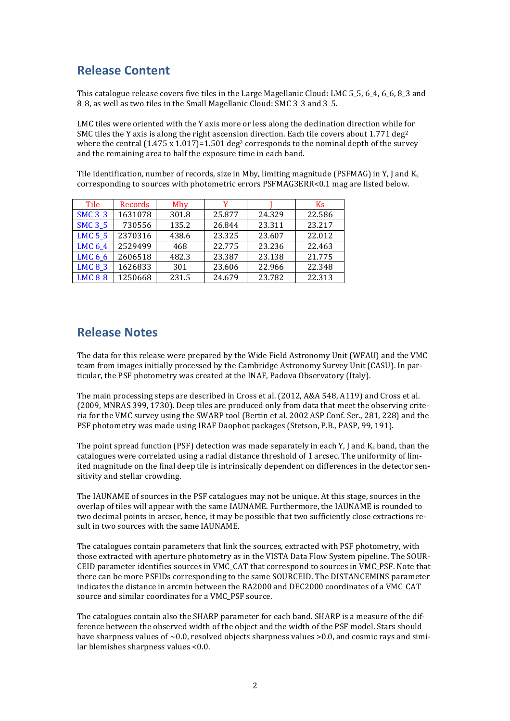# **Release Content**

This catalogue release covers five tiles in the Large Magellanic Cloud: LMC 5 5, 6 4, 6 6, 8 3 and 8<sub>\_</sub>8, as well as two tiles in the Small Magellanic Cloud: SMC 3<sub>\_</sub>3 and 3<sub>\_</sub>5.

LMC tiles were oriented with the Y axis more or less along the declination direction while for SMC tiles the Y axis is along the right ascension direction. Each tile covers about  $1.771 \text{ deg}^2$ where the central  $(1.475 \times 1.017)=1.501 \text{ deg}^2$  corresponds to the nominal depth of the survey and the remaining area to half the exposure time in each band.

Tile identification, number of records, size in Mby, limiting magnitude (PSFMAG) in Y, J and  $K_s$ corresponding to sources with photometric errors PSFMAG3ERR<0.1 mag are listed below.

| Tile           | Records | Mby   | v      |        | K <sub>S</sub> |
|----------------|---------|-------|--------|--------|----------------|
| <b>SMC 3_3</b> | 1631078 | 301.8 | 25.877 | 24.329 | 22.586         |
| <b>SMC 3_5</b> | 730556  | 135.2 | 26.844 | 23.311 | 23.217         |
| <b>LMC 5_5</b> | 2370316 | 438.6 | 23.325 | 23.607 | 22.012         |
| LMC 6_4        | 2529499 | 468   | 22.775 | 23.236 | 22.463         |
| LMC 6_6        | 2606518 | 482.3 | 23.387 | 23.138 | 21.775         |
| <b>LMC 8_3</b> | 1626833 | 301   | 23.606 | 22.966 | 22.348         |
| <b>LMC 8_8</b> | 1250668 | 231.5 | 24.679 | 23.782 | 22.313         |

## **Release Notes**

The data for this release were prepared by the Wide Field Astronomy Unit (WFAU) and the VMC team from images initially processed by the Cambridge Astronomy Survey Unit (CASU). In particular, the PSF photometry was created at the INAF, Padova Observatory (Italy).

The main processing steps are described in Cross et al. (2012, A&A 548, A119) and Cross et al. (2009, MNRAS 399, 1730). Deep tiles are produced only from data that meet the observing criteria for the VMC survey using the SWARP tool (Bertin et al. 2002 ASP Conf. Ser., 281, 228) and the PSF photometry was made using IRAF Daophot packages (Stetson, P.B., PASP, 99, 191).

The point spread function (PSF) detection was made separately in each Y, J and K<sub>s</sub> band, than the catalogues were correlated using a radial distance threshold of 1 arcsec. The uniformity of limited magnitude on the final deep tile is intrinsically dependent on differences in the detector sensitivity and stellar crowding.

The IAUNAME of sources in the PSF catalogues may not be unique. At this stage, sources in the overlap of tiles will appear with the same IAUNAME. Furthermore, the IAUNAME is rounded to two decimal points in arcsec, hence, it may be possible that two sufficiently close extractions result in two sources with the same IAUNAME.

The catalogues contain parameters that link the sources, extracted with PSF photometry, with those extracted with aperture photometry as in the VISTA Data Flow System pipeline. The SOUR-CEID parameter identifies sources in VMC\_CAT that correspond to sources in VMC\_PSF. Note that there can be more PSFIDs corresponding to the same SOURCEID. The DISTANCEMINS parameter indicates the distance in arcmin between the RA2000 and DEC2000 coordinates of a VMC\_CAT source and similar coordinates for a VMC\_PSF source.

The catalogues contain also the SHARP parameter for each band. SHARP is a measure of the difference between the observed width of the object and the width of the PSF model. Stars should have sharpness values of  $\sim$ 0.0, resolved objects sharpness values >0.0, and cosmic rays and similar blemishes sharpness values  $< 0.0$ .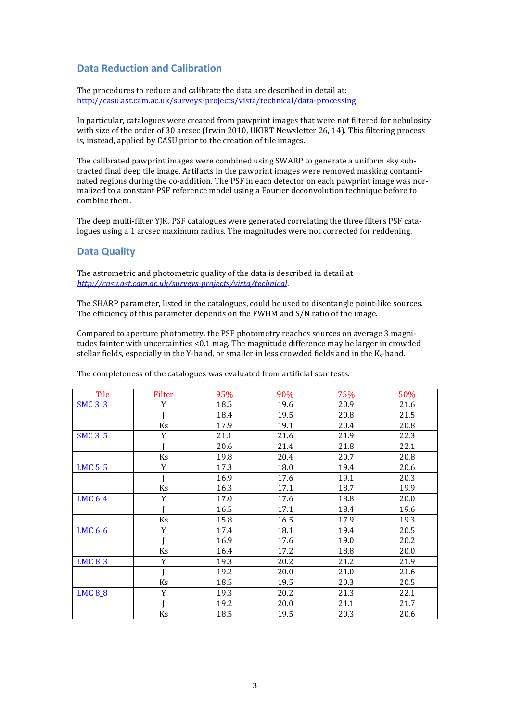### **Data Reduction and Calibration**

The procedures to reduce and calibrate the data are described in detail at: http://casu.ast.cam.ac.uk/surveys-projects/vista/technical/data-processing. 

In particular, catalogues were created from pawprint images that were not filtered for nebulosity with size of the order of 30 arcsec (Irwin 2010, UKIRT Newsletter 26, 14). This filtering process is, instead, applied by CASU prior to the creation of tile images.

The calibrated pawprint images were combined using SWARP to generate a uniform sky subtracted final deep tile image. Artifacts in the pawprint images were removed masking contaminated regions during the co-addition. The PSF in each detector on each pawprint image was normalized to a constant PSF reference model using a Fourier deconvolution technique before to combine them.

The deep multi-filter  $Y|K_s$  PSF catalogues were generated correlating the three filters PSF catalogues using a 1 arcsec maximum radius. The magnitudes were not corrected for reddening.

### **Data Quality**

The astrometric and photometric quality of the data is described in detail at *http://casu.ast.cam.ac.uk/surveys-projects/vista/technical*.

The SHARP parameter, listed in the catalogues, could be used to disentangle point-like sources. The efficiency of this parameter depends on the FWHM and S/N ratio of the image.

Compared to aperture photometry, the PSF photometry reaches sources on average 3 magnitudes fainter with uncertainties <0.1 mag. The magnitude difference may be larger in crowded stellar fields, especially in the Y-band, or smaller in less crowded fields and in the  $K_s$ -band.

| Tile           | <b>Filter</b> | 95%  | 90%  | 75%  | 50%  |
|----------------|---------------|------|------|------|------|
| <b>SMC 3_3</b> | Y             | 18.5 | 19.6 | 20.9 | 21.6 |
|                |               | 18.4 | 19.5 | 20.8 | 21.5 |
|                | Ks            | 17.9 | 19.1 | 20.4 | 20.8 |
| <b>SMC 3_5</b> | Y             | 21.1 | 21.6 | 21.9 | 22.3 |
|                |               | 20.6 | 21.4 | 21.8 | 22.1 |
|                | Ks            | 19.8 | 20.4 | 20.7 | 20.8 |
| <b>LMC 5_5</b> | Y             | 17.3 | 18.0 | 19.4 | 20.6 |
|                |               | 16.9 | 17.6 | 19.1 | 20.3 |
|                | Ks            | 16.3 | 17.1 | 18.7 | 19.9 |
| LMC 6_4        | Y             | 17.0 | 17.6 | 18.8 | 20.0 |
|                |               | 16.5 | 17.1 | 18.4 | 19.6 |
|                | Ks            | 15.8 | 16.5 | 17.9 | 19.3 |
| LMC 6_6        | Y             | 17.4 | 18.1 | 19.4 | 20.5 |
|                |               | 16.9 | 17.6 | 19.0 | 20.2 |
|                | Ks            | 16.4 | 17.2 | 18.8 | 20.0 |
| <b>LMC 8_3</b> | Y             | 19.3 | 20.2 | 21.2 | 21.9 |
|                |               | 19.2 | 20.0 | 21.0 | 21.6 |
|                | Ks            | 18.5 | 19.5 | 20.3 | 20.5 |
| <b>LMC 8_8</b> | Y             | 19.3 | 20.2 | 21.3 | 22.1 |
|                |               | 19.2 | 20.0 | 21.1 | 21.7 |
|                | Ks            | 18.5 | 19.5 | 20.3 | 20.6 |

The completeness of the catalogues was evaluated from artificial star tests.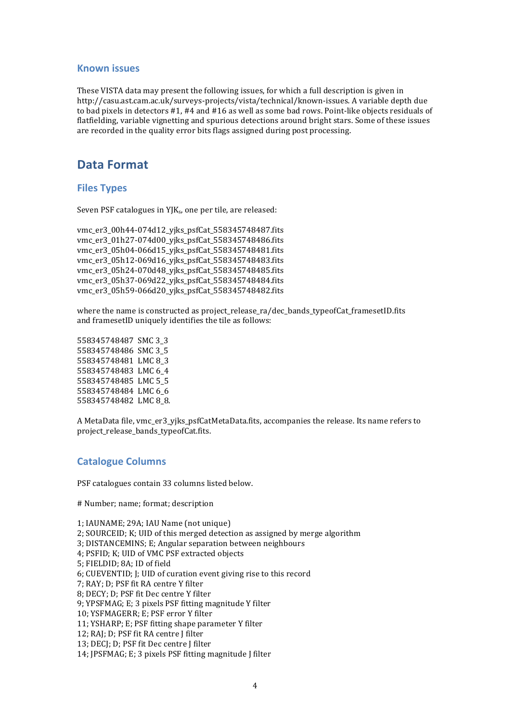### **Known issues**

These VISTA data may present the following issues, for which a full description is given in http://casu.ast.cam.ac.uk/surveys-projects/vista/technical/known-issues. A variable depth due to bad pixels in detectors #1, #4 and #16 as well as some bad rows. Point-like objects residuals of flatfielding, variable vignetting and spurious detections around bright stars. Some of these issues are recorded in the quality error bits flags assigned during post processing.

## **Data Format**

### **Files Types**

Seven PSF catalogues in  $YJK_s$ , one per tile, are released:

```
vmc_er3_00h44-074d12_yjks_psfCat_558345748487.fits
vmc_er3_01h27-074d00_yjks_psfCat_558345748486.fits
vmc er3_05h04-066d15_viks_psfCat_558345748481.fits
vmc_er3_05h12-069d16_yjks_psfCat_558345748483.fits
vmc_er3_05h24-070d48_yjks_psfCat_558345748485.fits
vmc_er3_05h37-069d22_yjks_psfCat_558345748484.fits
vmc_er3_05h59-066d20_yjks_psfCat_558345748482.fits
```
where the name is constructed as project\_release\_ra/dec\_bands\_typeofCat\_framesetID.fits and framesetID uniquely identifies the tile as follows:

558345748487 SMC 3 3 558345748486 SMC 3\_5 558345748481 LMC 8 3 558345748483 LMC 6 4 558345748485 LMC 5\_5 558345748484 LMC 6 6 558345748482 LMC 8\_8.

A MetaData file, ymc\_er3\_yjks\_psfCatMetaData.fits, accompanies the release. Its name refers to project\_release\_bands\_typeofCat.fits.

#### **Catalogue Columns**

PSF catalogues contain 33 columns listed below.

# Number; name; format; description

1; IAUNAME; 29A; IAU Name (not unique)

- 2; SOURCEID; K; UID of this merged detection as assigned by merge algorithm
- 3; DISTANCEMINS; E; Angular separation between neighbours
- 4; PSFID; K; UID of VMC PSF extracted objects
- 5; FIELDID; 8A; ID of field

6; CUEVENTID; J; UID of curation event giving rise to this record

7; RAY; D; PSF fit RA centre Y filter

8; DECY; D; PSF fit Dec centre Y filter

9; YPSFMAG; E; 3 pixels PSF fitting magnitude Y filter

10; YSFMAGERR; E; PSF error Y filter

11; YSHARP; E; PSF fitting shape parameter Y filter

12; RAJ; D; PSF fit RA centre J filter

13: DECI: D: PSF fit Dec centre I filter

14; JPSFMAG; E; 3 pixels PSF fitting magnitude I filter